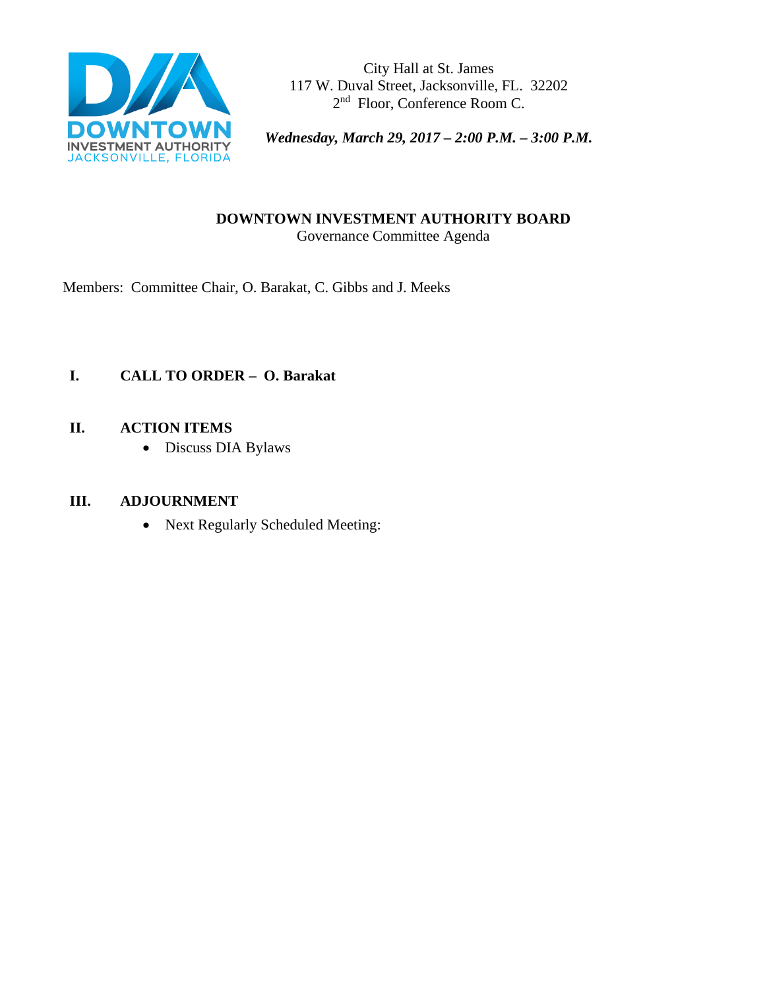

City Hall at St. James 117 W. Duval Street, Jacksonville, FL. 32202 2<sup>nd</sup> Floor, Conference Room C.

*Wednesday, March 29, 2017 – 2:00 P.M. – 3:00 P.M.* 

### **DOWNTOWN INVESTMENT AUTHORITY BOARD** Governance Committee Agenda

Members: Committee Chair, O. Barakat, C. Gibbs and J. Meeks

# **I. CALL TO ORDER – O. Barakat**

## **II. ACTION ITEMS**

• Discuss DIA Bylaws

## **III. ADJOURNMENT**

• Next Regularly Scheduled Meeting: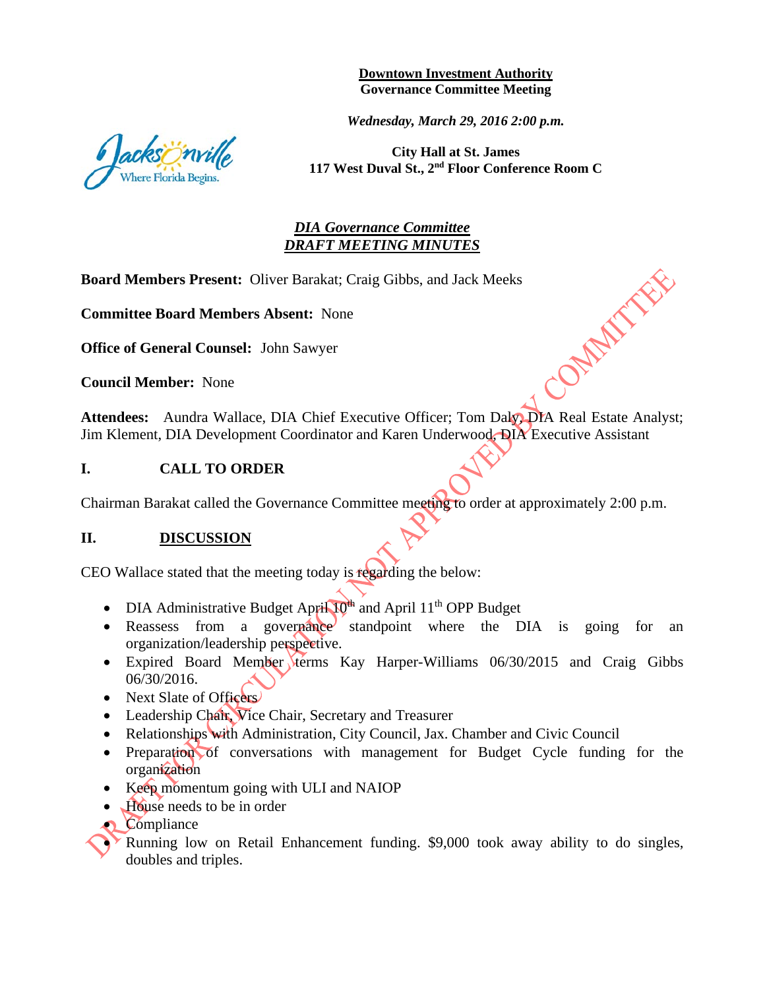**Downtown Investment Authority Governance Committee Meeting** 

*Wednesday, March 29, 2016 2:00 p.m.* 

**City Hall at St. James 117 West Duval St., 2nd Floor Conference Room C**

COMMANDE

### *DIA Governance Committee DRAFT MEETING MINUTES*

**Board Members Present:** Oliver Barakat; Craig Gibbs, and Jack Meeks

**Committee Board Members Absent:** None

**Office of General Counsel:** John Sawyer

**Council Member:** None

Attendees: Aundra Wallace, DIA Chief Executive Officer; Tom Daly, DIA Real Estate Analyst; Jim Klement, DIA Development Coordinator and Karen Underwood, DIA Executive Assistant

#### **I. CALL TO ORDER**

Chairman Barakat called the Governance Committee meeting to order at approximately 2:00 p.m.

#### **II. DISCUSSION**

CEO Wallace stated that the meeting today is regarding the below:

- DIA Administrative Budget April 10<sup>th</sup> and April 11<sup>th</sup> OPP Budget
- Reassess from a governance standpoint where the DIA is going for an organization/leadership perspective.
- Expired Board Member terms Kay Harper-Williams 06/30/2015 and Craig Gibbs 06/30/2016.
- Next Slate of Officers
- Leadership Chair, Vice Chair, Secretary and Treasurer
- Relationships with Administration, City Council, Jax. Chamber and Civic Council
- Preparation of conversations with management for Budget Cycle funding for the organization
- Keep momentum going with ULI and NAIOP
- House needs to be in order
- Compliance

• Running low on Retail Enhancement funding. \$9,000 took away ability to do singles, doubles and triples.

cksönville ere Florida Begins.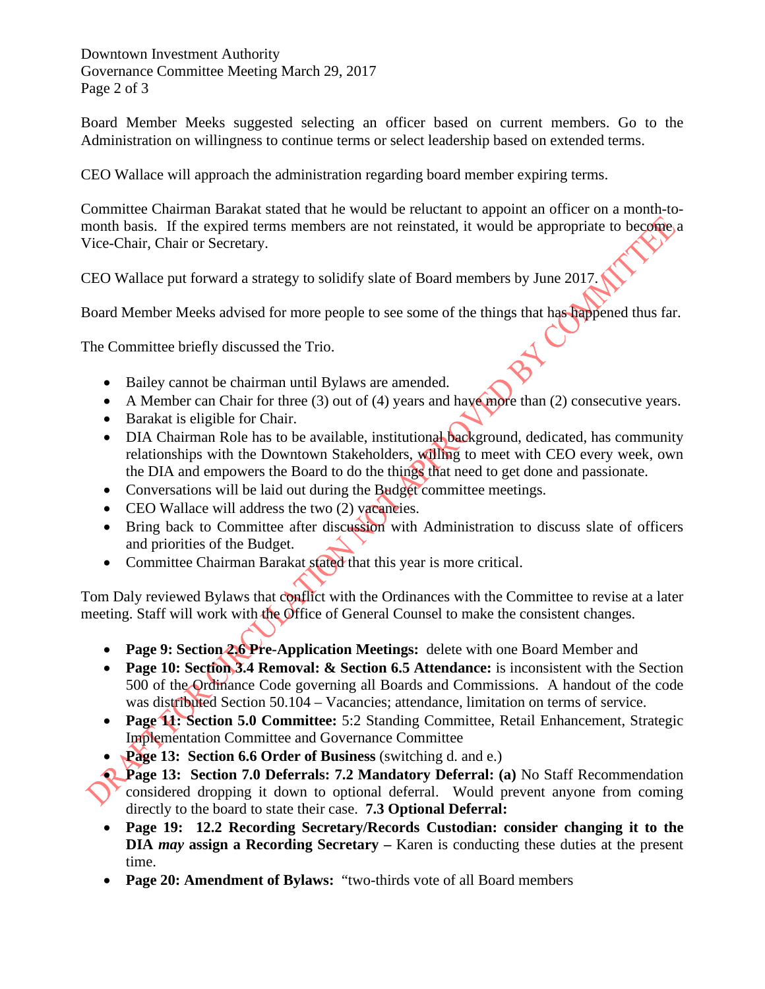Downtown Investment Authority Governance Committee Meeting March 29, 2017 Page 2 of 3

Board Member Meeks suggested selecting an officer based on current members. Go to the Administration on willingness to continue terms or select leadership based on extended terms.

CEO Wallace will approach the administration regarding board member expiring terms.

Committee Chairman Barakat stated that he would be reluctant to appoint an officer on a month-tomonth basis. If the expired terms members are not reinstated, it would be appropriate to become, a Vice-Chair, Chair or Secretary.

CEO Wallace put forward a strategy to solidify slate of Board members by June 2017.

Board Member Meeks advised for more people to see some of the things that has happened thus far.

The Committee briefly discussed the Trio.

- Bailey cannot be chairman until Bylaws are amended.
- A Member can Chair for three (3) out of (4) years and have more than (2) consecutive years.
- Barakat is eligible for Chair.
- DIA Chairman Role has to be available, institutional background, dedicated, has community relationships with the Downtown Stakeholders, willing to meet with CEO every week, own the DIA and empowers the Board to do the things that need to get done and passionate.
- Conversations will be laid out during the Budget committee meetings.
- CEO Wallace will address the two (2) vacancies.
- Bring back to Committee after discussion with Administration to discuss slate of officers and priorities of the Budget.
- Committee Chairman Barakat stated that this year is more critical.

Tom Daly reviewed Bylaws that conflict with the Ordinances with the Committee to revise at a later meeting. Staff will work with the Office of General Counsel to make the consistent changes.

- **Page 9: Section 2.6 Pre-Application Meetings:** delete with one Board Member and
- **Page 10: Section 3.4 Removal: & Section 6.5 Attendance:** is inconsistent with the Section 500 of the Ordinance Code governing all Boards and Commissions. A handout of the code was distributed Section 50.104 – Vacancies; attendance, limitation on terms of service.
- **Page 11: Section 5.0 Committee:** 5:2 Standing Committee, Retail Enhancement, Strategic Implementation Committee and Governance Committee
- **Page 13: Section 6.6 Order of Business** (switching d. and e.)
- **Page 13: Section 7.0 Deferrals: 7.2 Mandatory Deferral: (a)** No Staff Recommendation considered dropping it down to optional deferral. Would prevent anyone from coming directly to the board to state their case. **7.3 Optional Deferral:** 
	- **Page 19: 12.2 Recording Secretary/Records Custodian: consider changing it to the DIA** *may* **assign a Recording Secretary –** Karen is conducting these duties at the present time.
	- **Page 20: Amendment of Bylaws:** "two-thirds vote of all Board members"